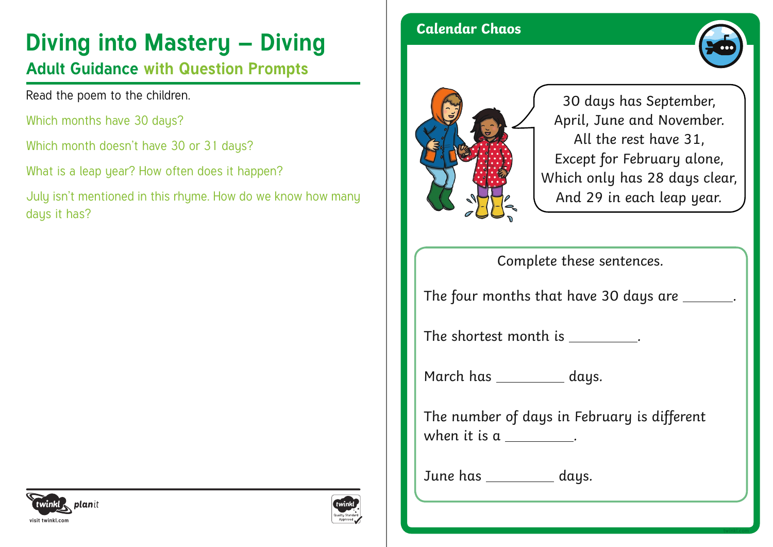# **Diving into Mastery – Diving and Calendar Chaos**

### **Adult Guidance with Question Prompts**

Read the poem to the children.

Which months have 30 days?

Which month doesn't have 30 or 31 days?

What is a leap year? How often does it happen?

July isn't mentioned in this rhyme. How do we know how many days it has?





30 days has September, April, June and November. All the rest have 31, Except for February alone, Which only has 28 days clear, And 29 in each leap year.

Complete these sentences.

The four months that have 30 days are \_\_\_\_\_\_.

The shortest month is  $\qquad \qquad$ .

March has \_\_\_\_\_\_\_\_\_ days.

The number of days in February is different when it is  $a_1$ .

June has \_\_\_\_\_\_\_\_\_\_ days.



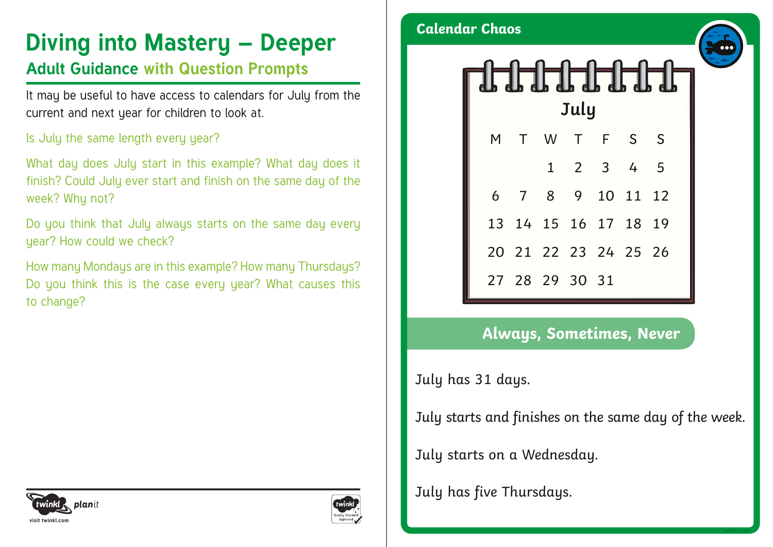## **Diving into Mastery – Deeper**

#### **Adult Guidance with Question Prompts**

It may be useful to have access to calendars for July from the current and next year for children to look at.

#### Is July the same length every year?

What day does July start in this example? What day does it finish? Could July ever start and finish on the same day of the week? Why not?

Do you think that July always starts on the same day every year? How could we check?

How many Mondays are in this example? How many Thursdays? Do you think this is the case every year? What causes this to change?



**Calendar Chaos**



#### **Always, Sometimes, Never**

July has 31 days.

July starts and finishes on the same day of the week.

July starts on a Wednesday.

July has five Thursdays.